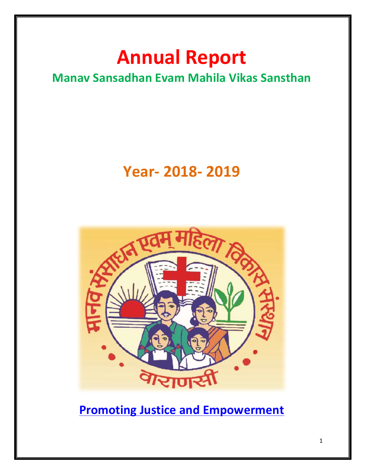# **Annual Report**

### **Manav Sansadhan Evam Mahila Vikas Sansthan**

## **Year- 2018- 2019**



**Promoting Justice and Empowerment**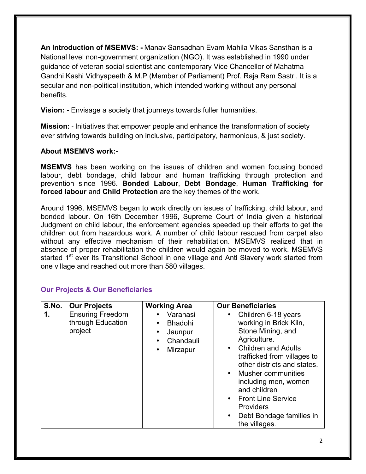**An Introduction of MSEMVS: -** Manav Sansadhan Evam Mahila Vikas Sansthan is a National level non-government organization (NGO). It was established in 1990 under guidance of veteran social scientist and contemporary Vice Chancellor of Mahatma Gandhi Kashi Vidhyapeeth & M.P (Member of Parliament) Prof. Raja Ram Sastri. It is a secular and non-political institution, which intended working without any personal benefits.

**Vision: -** Envisage a society that journeys towards fuller humanities.

**Mission: -** Initiatives that empower people and enhance the transformation of society ever striving towards building on inclusive, participatory, harmonious, & just society.

#### **About MSEMVS work:-**

**MSEMVS** has been working on the issues of children and women focusing bonded labour, debt bondage, child labour and human trafficking through protection and prevention since 1996. **Bonded Labour**, **Debt Bondage**, **Human Trafficking for forced labour** and **Child Protection** are the key themes of the work.

Around 1996, MSEMVS began to work directly on issues of trafficking, child labour, and bonded labour. On 16th December 1996, Supreme Court of India given a historical Judgment on child labour, the enforcement agencies speeded up their efforts to get the children out from hazardous work. A number of child labour rescued from carpet also without any effective mechanism of their rehabilitation. MSEMVS realized that in absence of proper rehabilitation the children would again be moved to work. MSEMVS started 1<sup>st</sup> ever its Transitional School in one village and Anti Slavery work started from one village and reached out more than 580 villages.

| S.No. | <b>Our Projects</b>                                     | <b>Working Area</b>                                            | <b>Our Beneficiaries</b>                                                                                                                                                                                                                                                                                                                                                       |
|-------|---------------------------------------------------------|----------------------------------------------------------------|--------------------------------------------------------------------------------------------------------------------------------------------------------------------------------------------------------------------------------------------------------------------------------------------------------------------------------------------------------------------------------|
| 1.    | <b>Ensuring Freedom</b><br>through Education<br>project | Varanasi<br><b>Bhadohi</b><br>Jaunpur<br>Chandauli<br>Mirzapur | Children 6-18 years<br>$\bullet$<br>working in Brick Kiln,<br>Stone Mining, and<br>Agriculture.<br><b>Children and Adults</b><br>$\bullet$<br>trafficked from villages to<br>other districts and states.<br>• Musher communities<br>including men, women<br>and children<br>• Front Line Service<br><b>Providers</b><br>Debt Bondage families in<br>$\bullet$<br>the villages. |

#### **Our Projects & Our Beneficiaries**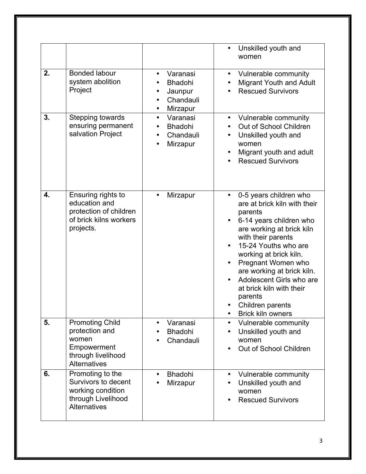|    |                                                                                                               |                                                                                               | Unskilled youth and<br>$\bullet$<br>women                                                                                                                                                                                                                                                                                                                                             |
|----|---------------------------------------------------------------------------------------------------------------|-----------------------------------------------------------------------------------------------|---------------------------------------------------------------------------------------------------------------------------------------------------------------------------------------------------------------------------------------------------------------------------------------------------------------------------------------------------------------------------------------|
| 2. | <b>Bonded labour</b><br>system abolition<br>Project                                                           | Varanasi<br>$\bullet$<br><b>Bhadohi</b><br>Jaunpur<br>٠<br>Chandauli<br>$\bullet$<br>Mirzapur | Vulnerable community<br>$\bullet$<br><b>Migrant Youth and Adult</b><br><b>Rescued Survivors</b>                                                                                                                                                                                                                                                                                       |
| 3. | Stepping towards<br>ensuring permanent<br>salvation Project                                                   | Varanasi<br>$\bullet$<br><b>Bhadohi</b><br>$\bullet$<br>Chandauli<br>$\bullet$<br>Mirzapur    | Vulnerable community<br>$\bullet$<br>Out of School Children<br>$\bullet$<br>Unskilled youth and<br>$\bullet$<br>women<br>Migrant youth and adult<br><b>Rescued Survivors</b>                                                                                                                                                                                                          |
| 4. | Ensuring rights to<br>education and<br>protection of children<br>of brick kilns workers<br>projects.          | Mirzapur                                                                                      | 0-5 years children who<br>are at brick kiln with their<br>parents<br>6-14 years children who<br>are working at brick kiln<br>with their parents<br>15-24 Youths who are<br>working at brick kiln.<br>Pregnant Women who<br>are working at brick kiln.<br>Adolescent Girls who are<br>at brick kiln with their<br>parents<br>Children parents<br><b>Brick kiln owners</b><br>$\bullet$ |
| 5. | <b>Promoting Child</b><br>protection and<br>women<br>Empowerment<br>through livelihood<br><b>Alternatives</b> | Varanasi<br>$\bullet$<br><b>Bhadohi</b><br>Chandauli<br>$\bullet$                             | Vulnerable community<br>$\bullet$<br>Unskilled youth and<br>$\bullet$<br>women<br>Out of School Children                                                                                                                                                                                                                                                                              |
| 6. | Promoting to the<br>Survivors to decent<br>working condition<br>through Livelihood<br><b>Alternatives</b>     | <b>Bhadohi</b><br>$\bullet$<br>Mirzapur                                                       | Vulnerable community<br>$\bullet$<br>Unskilled youth and<br>women<br><b>Rescued Survivors</b>                                                                                                                                                                                                                                                                                         |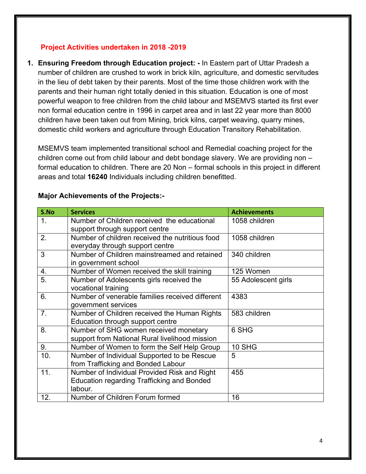#### **Project Activities undertaken in 2018 -2019**

**1. Ensuring Freedom through Education project: -** In Eastern part of Uttar Pradesh a number of children are crushed to work in brick kiln, agriculture, and domestic servitudes in the lieu of debt taken by their parents. Most of the time those children work with the parents and their human right totally denied in this situation. Education is one of most powerful weapon to free children from the child labour and MSEMVS started its first ever non formal education centre in 1996 in carpet area and in last 22 year more than 8000 children have been taken out from Mining, brick kilns, carpet weaving, quarry mines, domestic child workers and agriculture through Education Transitory Rehabilitation.

MSEMVS team implemented transitional school and Remedial coaching project for the children come out from child labour and debt bondage slavery. We are providing non – formal education to children. There are 20 Non – formal schools in this project in different areas and total **16240** Individuals including children benefitted.

| S.No          | <b>Services</b>                                   | <b>Achievements</b> |
|---------------|---------------------------------------------------|---------------------|
| $\mathbf 1$ . | Number of Children received the educational       | 1058 children       |
|               | support through support centre                    |                     |
| 2.            | Number of children received the nutritious food   | 1058 children       |
|               | everyday through support centre                   |                     |
| 3             | Number of Children mainstreamed and retained      | 340 children        |
|               | in government school                              |                     |
| 4.            | Number of Women received the skill training       | 125 Women           |
| 5.            | Number of Adolescents girls received the          | 55 Adolescent girls |
|               | vocational training                               |                     |
| 6.            | Number of venerable families received different   | 4383                |
|               | government services                               |                     |
| 7.            | Number of Children received the Human Rights      | 583 children        |
|               | Education through support centre                  |                     |
| 8.            | Number of SHG women received monetary             | 6 SHG               |
|               | support from National Rural livelihood mission    |                     |
| 9.            | Number of Women to form the Self Help Group       | 10 SHG              |
| 10.           | Number of Individual Supported to be Rescue       | 5                   |
|               | from Trafficking and Bonded Labour                |                     |
| 11.           | Number of Individual Provided Risk and Right      | 455                 |
|               | <b>Education regarding Trafficking and Bonded</b> |                     |
|               | labour.                                           |                     |
| 12.           | Number of Children Forum formed                   | 16                  |

#### **Major Achievements of the Projects:-**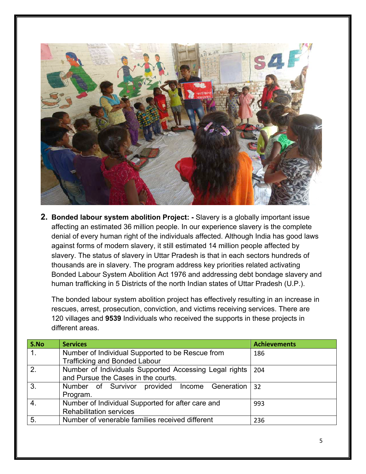

**2. Bonded labour system abolition Project: -** Slavery is a globally important issue affecting an estimated 36 million people. In our experience slavery is the complete denial of every human right of the individuals affected. Although India has good laws against forms of modern slavery, it still estimated 14 million people affected by slavery. The status of slavery in Uttar Pradesh is that in each sectors hundreds of thousands are in slavery. The program address key priorities related activating Bonded Labour System Abolition Act 1976 and addressing debt bondage slavery and human trafficking in 5 Districts of the north Indian states of Uttar Pradesh (U.P.).

The bonded labour system abolition project has effectively resulting in an increase in rescues, arrest, prosecution, conviction, and victims receiving services. There are 120 villages and **9539** Individuals who received the supports in these projects in different areas.

| S.No    | <b>Services</b>                                        | <b>Achievements</b> |
|---------|--------------------------------------------------------|---------------------|
| $1_{-}$ | Number of Individual Supported to be Rescue from       | 186                 |
|         | <b>Trafficking and Bonded Labour</b>                   |                     |
| 2.      | Number of Individuals Supported Accessing Legal rights | 204                 |
|         | and Pursue the Cases in the courts.                    |                     |
| 3.      | Number of Survivor provided Income Generation          | 32                  |
|         | Program.                                               |                     |
| 4.      | Number of Individual Supported for after care and      | 993                 |
|         | <b>Rehabilitation services</b>                         |                     |
| 5.      | Number of venerable families received different        | 236                 |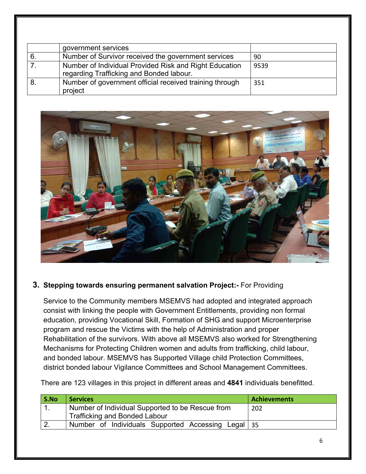| government services                                                                                |      |
|----------------------------------------------------------------------------------------------------|------|
| Number of Survivor received the government services                                                | 90   |
| Number of Individual Provided Risk and Right Education<br>regarding Trafficking and Bonded labour. | 9539 |
| Number of government official received training through<br>project                                 | 351  |



#### **3. Stepping towards ensuring permanent salvation Project:-** For Providing

Service to the Community members MSEMVS had adopted and integrated approach consist with linking the people with Government Entitlements, providing non formal education, providing Vocational Skill, Formation of SHG and support Microenterprise program and rescue the Victims with the help of Administration and proper Rehabilitation of the survivors. With above all MSEMVS also worked for Strengthening Mechanisms for Protecting Children women and adults from trafficking, child labour, and bonded labour. MSEMVS has Supported Village child Protection Committees, district bonded labour Vigilance Committees and School Management Committees.

| S.No | <b>Services</b>                                                                          | <b>Achievements</b> |
|------|------------------------------------------------------------------------------------------|---------------------|
|      | Number of Individual Supported to be Rescue from<br><b>Trafficking and Bonded Labour</b> | 202                 |
|      | Number of Individuals Supported Accessing Legal 35                                       |                     |

There are 123 villages in this project in different areas and **4841** individuals benefitted.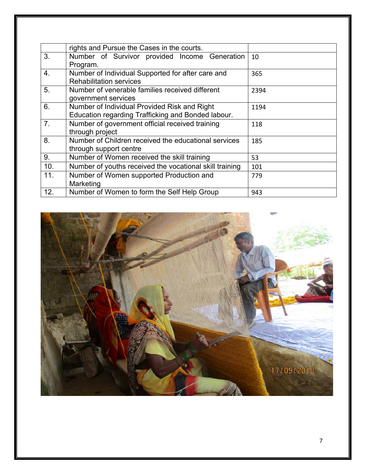|                | rights and Pursue the Cases in the courts.              |      |
|----------------|---------------------------------------------------------|------|
| 3.             | Number of Survivor provided Income Generation           | 10   |
|                | Program.                                                |      |
| 4.             | Number of Individual Supported for after care and       | 365  |
|                | <b>Rehabilitation services</b>                          |      |
| 5.             | Number of venerable families received different         | 2394 |
|                | government services                                     |      |
| 6.             | Number of Individual Provided Risk and Right            | 1194 |
|                | Education regarding Trafficking and Bonded labour.      |      |
| 7 <sub>1</sub> | Number of government official received training         | 118  |
|                | through project                                         |      |
| 8.             | Number of Children received the educational services    | 185  |
|                | through support centre                                  |      |
| 9.             | Number of Women received the skill training             | 53   |
| 10.            | Number of youths received the vocational skill training | 101  |
| 11.            | Number of Women supported Production and                | 779  |
|                | Marketing                                               |      |
| 12.            | Number of Women to form the Self Help Group             | 943  |

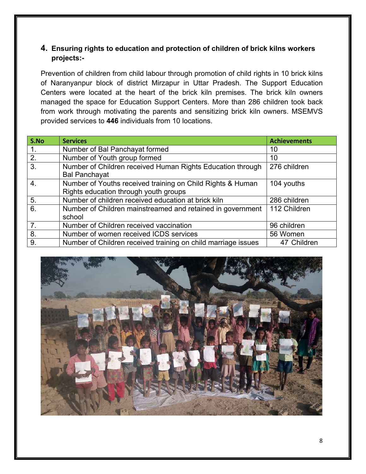#### **4. Ensuring rights to education and protection of children of brick kilns workers projects:-**

Prevention of children from child labour through promotion of child rights in 10 brick kilns of Naranyanpur block of district Mirzapur in Uttar Pradesh. The Support Education Centers were located at the heart of the brick kiln premises. The brick kiln owners managed the space for Education Support Centers. More than 286 children took back from work through motivating the parents and sensitizing brick kiln owners. MSEMVS provided services to **446** individuals from 10 locations.

| S.No             | <b>Services</b>                                               | <b>Achievements</b> |
|------------------|---------------------------------------------------------------|---------------------|
| 1.               | Number of Bal Panchayat formed                                | 10                  |
| 2.               | Number of Youth group formed                                  | 10                  |
| 3.               | Number of Children received Human Rights Education through    | 276 children        |
|                  | <b>Bal Panchayat</b>                                          |                     |
| 4.               | Number of Youths received training on Child Rights & Human    | 104 youths          |
|                  | Rights education through youth groups                         |                     |
| 5.               | Number of children received education at brick kiln           | 286 children        |
| 6.               | Number of Children mainstreamed and retained in government    | 112 Children        |
|                  | school                                                        |                     |
| $\overline{7}$ . | Number of Children received vaccination                       | 96 children         |
| 8.               | Number of women received ICDS services                        | 56 Women            |
| 9.               | Number of Children received training on child marriage issues | 47 Children         |

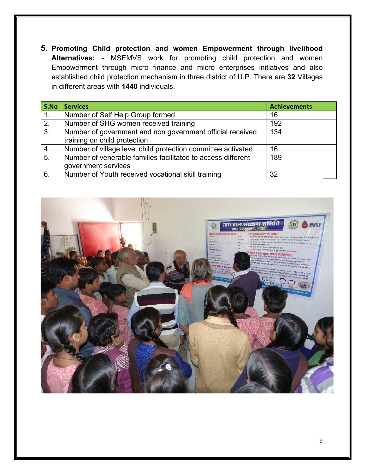**5. Promoting Child protection and women Empowerment through livelihood Alternatives: -** MSEMVS work for promoting child protection and women Empowerment through micro finance and micro enterprises initiatives and also established child protection mechanism in three district of U.P. There are **32** Villages in different areas with **1440** individuals.

| S.No    | <b>Services</b>                                                                           | <b>Achievements</b> |
|---------|-------------------------------------------------------------------------------------------|---------------------|
| $1_{-}$ | Number of Self Help Group formed                                                          | 16                  |
| 2.      | Number of SHG women received training                                                     | 192                 |
| 3.      | Number of government and non government official received<br>training on child protection | 134                 |
| 4.      | Number of village level child protection committee activated                              | 16                  |
| 5.      | Number of venerable families facilitated to access different<br>government services       | 189                 |
| 6.      | Number of Youth received vocational skill training                                        | 32                  |

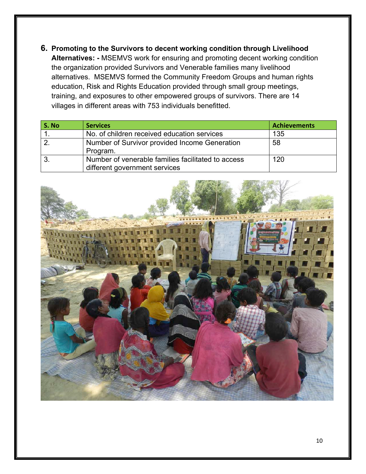**6. Promoting to the Survivors to decent working condition through Livelihood Alternatives: -** MSEMVS work for ensuring and promoting decent working condition the organization provided Survivors and Venerable families many livelihood alternatives. MSEMVS formed the Community Freedom Groups and human rights education, Risk and Rights Education provided through small group meetings, training, and exposures to other empowered groups of survivors. There are 14 villages in different areas with 753 individuals benefitted.

| S. No | <b>Services</b>                                                                     | <b>Achievements</b> |
|-------|-------------------------------------------------------------------------------------|---------------------|
|       | No. of children received education services                                         | 135                 |
|       | Number of Survivor provided Income Generation<br>Program.                           | 58                  |
|       | Number of venerable families facilitated to access<br>different government services | 120                 |